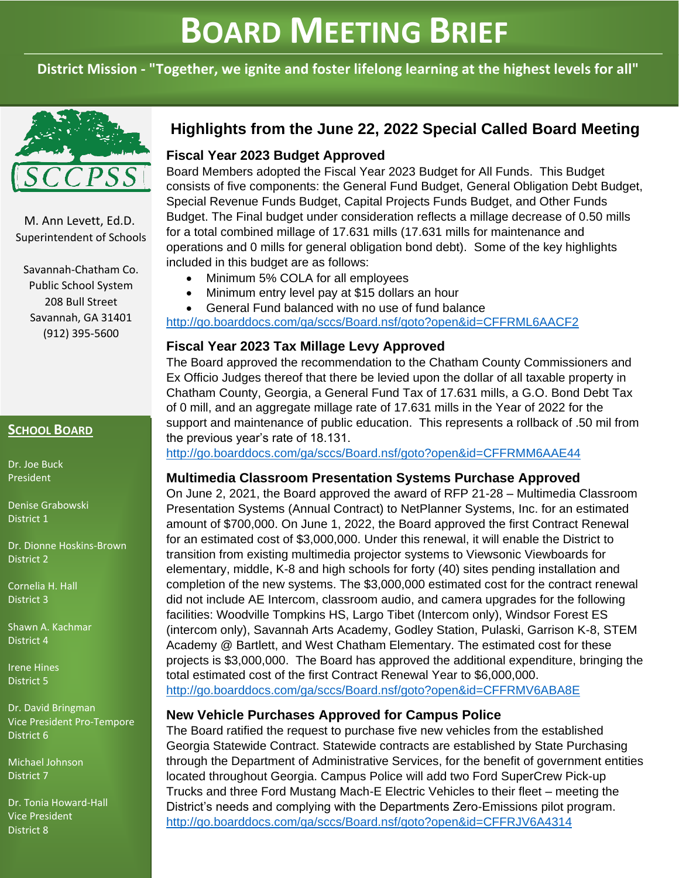# **BOARD MEETING BRIEF**

**District Mission - "Together, we ignite and foster lifelong learning at the highest levels for all"**



M. Ann Levett, Ed.D. Superintendent of Schools

Savannah-Chatham Co. Public School System 208 Bull Street Savannah, GA 31401 (912) 395-5600

# **SCHOOL BOARD**

Dr. Joe Buck President

Denise Grabowski District 1

Dr. Dionne Hoskins-Brown District 2

Cornelia H. Hall District 3

Shawn A. Kachmar District 4

Irene Hines District 5

Dr. David Bringman Vice President Pro-Tempore District 6

Michael Johnson District 7

Dr. Tonia Howard-Hall Vice President District 8

# **Highlights from the June 22, 2022 Special Called Board Meeting**

# **Fiscal Year 2023 Budget Approved**

Board Members adopted the Fiscal Year 2023 Budget for All Funds. This Budget consists of five components: the General Fund Budget, General Obligation Debt Budget, Special Revenue Funds Budget, Capital Projects Funds Budget, and Other Funds Budget. The Final budget under consideration reflects a millage decrease of 0.50 mills for a total combined millage of 17.631 mills (17.631 mills for maintenance and operations and 0 mills for general obligation bond debt). Some of the key highlights included in this budget are as follows:

- Minimum 5% COLA for all employees
- Minimum entry level pay at \$15 dollars an hour
- General Fund balanced with no use of fund balance

<http://go.boarddocs.com/ga/sccs/Board.nsf/goto?open&id=CFFRML6AACF2>

# **Fiscal Year 2023 Tax Millage Levy Approved**

The Board approved the recommendation to the Chatham County Commissioners and Ex Officio Judges thereof that there be levied upon the dollar of all taxable property in Chatham County, Georgia, a General Fund Tax of 17.631 mills, a G.O. Bond Debt Tax of 0 mill, and an aggregate millage rate of 17.631 mills in the Year of 2022 for the support and maintenance of public education. This represents a rollback of .50 mil from the previous year's rate of 18.131.

<http://go.boarddocs.com/ga/sccs/Board.nsf/goto?open&id=CFFRMM6AAE44>

## **Multimedia Classroom Presentation Systems Purchase Approved**

On June 2, 2021, the Board approved the award of RFP 21-28 – Multimedia Classroom Presentation Systems (Annual Contract) to NetPlanner Systems, Inc. for an estimated amount of \$700,000. On June 1, 2022, the Board approved the first Contract Renewal for an estimated cost of \$3,000,000. Under this renewal, it will enable the District to transition from existing multimedia projector systems to Viewsonic Viewboards for elementary, middle, K-8 and high schools for forty (40) sites pending installation and completion of the new systems. The \$3,000,000 estimated cost for the contract renewal did not include AE Intercom, classroom audio, and camera upgrades for the following facilities: Woodville Tompkins HS, Largo Tibet (Intercom only), Windsor Forest ES (intercom only), Savannah Arts Academy, Godley Station, Pulaski, Garrison K-8, STEM Academy @ Bartlett, and West Chatham Elementary. The estimated cost for these projects is \$3,000,000. The Board has approved the additional expenditure, bringing the total estimated cost of the first Contract Renewal Year to \$6,000,000. <http://go.boarddocs.com/ga/sccs/Board.nsf/goto?open&id=CFFRMV6ABA8E>

#### **New Vehicle Purchases Approved for Campus Police**

The Board ratified the request to purchase five new vehicles from the established Georgia Statewide Contract. Statewide contracts are established by State Purchasing through the Department of Administrative Services, for the benefit of government entities located throughout Georgia. Campus Police will add two Ford SuperCrew Pick-up Trucks and three Ford Mustang Mach-E Electric Vehicles to their fleet – meeting the District's needs and complying with the Departments Zero-Emissions pilot program. <http://go.boarddocs.com/ga/sccs/Board.nsf/goto?open&id=CFFRJV6A4314>